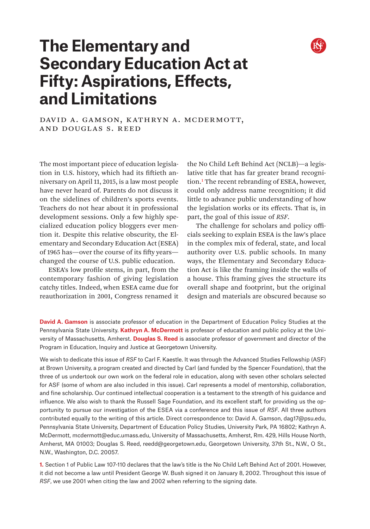

# **The Elementary and Secondary Education Act at Fifty: Aspirations, Effects, and Limitations**

DAVID A. GAMSON, KATHRYN A. MCDERMOTT, and Douglas S. Reed

The most important piece of education legislation in U.S. history, which had its fiftieth anniversary on April 11, 2015, is a law most people have never heard of. Parents do not discuss it on the sidelines of children's sports events. Teachers do not hear about it in professional development sessions. Only a few highly specialized education policy bloggers ever mention it. Despite this relative obscurity, the Elementary and Secondary Education Act (ESEA) of 1965 has—over the course of its fifty years changed the course of U.S. public education.

ESEA's low profile stems, in part, from the contemporary fashion of giving legislation catchy titles. Indeed, when ESEA came due for reauthorization in 2001, Congress renamed it the No Child Left Behind Act (NCLB)—a legislative title that has far greater brand recognition.1 The recent rebranding of ESEA, however, could only address name recognition; it did little to advance public understanding of how the legislation works or its effects. That is, in part, the goal of this issue of *RSF*.

The challenge for scholars and policy officials seeking to explain ESEA is the law's place in the complex mix of federal, state, and local authority over U.S. public schools. In many ways, the Elementary and Secondary Education Act is like the framing inside the walls of a house. This framing gives the structure its overall shape and footprint, but the original design and materials are obscured because so

**David A. Gamson** is associate professor of education in the Department of Education Policy Studies at the Pennsylvania State University. **Kathryn A. McDermott** is professor of education and public policy at the University of Massachusetts, Amherst. **Douglas S. Reed** is associate professor of government and director of the Program in Education, Inquiry and Justice at Georgetown University.

We wish to dedicate this issue of *RSF* to Carl F. Kaestle. It was through the Advanced Studies Fellowship (ASF) at Brown University, a program created and directed by Carl (and funded by the Spencer Foundation), that the three of us undertook our own work on the federal role in education, along with seven other scholars selected for ASF (some of whom are also included in this issue). Carl represents a model of mentorship, collaboration, and fine scholarship. Our continued intellectual cooperation is a testament to the strength of his guidance and influence. We also wish to thank the Russell Sage Foundation, and its excellent staff, for providing us the opportunity to pursue our investigation of the ESEA via a conference and this issue of *RSF*. All three authors contributed equally to the writing of this article. Direct correspondence to: David A. Gamson, [dag17@psu.edu](mailto:dag17%40psu.edu?subject=), Pennsylvania State University, Department of Education Policy Studies, University Park, PA 16802; Kathryn A. McDermott, [mcdermott@educ.umass.edu](mailto:mcdermott%40educ.umass.edu?subject=), University of Massachusetts, Amherst, Rm. 429, Hills House North, Amherst, MA 01003; Douglas S. Reed, [reedd@georgetown.edu](mailto:reedd%40georgetown.edu?subject=), Georgetown University, 37th St., N.W., O St., N.W., Washington, D.C. 20057.

**1.** Section 1 of Public Law 107-110 declares that the law's title is the No Child Left Behind Act of 2001. However, it did not become a law until President George W. Bush signed it on January 8, 2002. Throughout this issue of *RSF*, we use 2001 when citing the law and 2002 when referring to the signing date.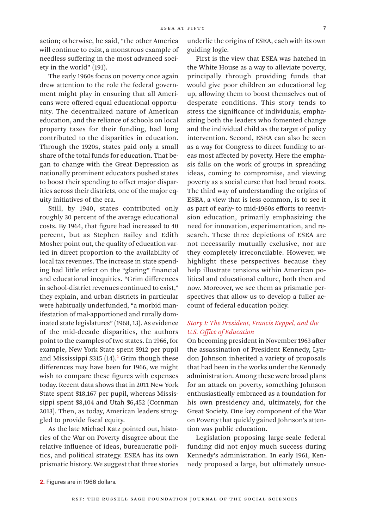action; otherwise, he said, "the other America will continue to exist, a monstrous example of needless suffering in the most advanced society in the world" (191).

The early 1960s focus on poverty once again drew attention to the role the federal government might play in ensuring that all Americans were offered equal educational opportunity. The decentralized nature of American education, and the reliance of schools on local property taxes for their funding, had long contributed to the disparities in education. Through the 1920s, states paid only a small share of the total funds for education. That began to change with the Great Depression as nationally prominent educators pushed states to boost their spending to offset major disparities across their districts, one of the major equity initiatives of the era.

Still, by 1940, states contributed only roughly 30 percent of the average educational costs. By 1964, that figure had increased to 40 percent, but as Stephen Bailey and Edith Mosher point out, the quality of education varied in direct proportion to the availability of local tax revenues. The increase in state spending had little effect on the "glaring" financial and educational inequities. "Grim differences in school-district revenues continued to exist," they explain, and urban districts in particular were habitually underfunded, "a morbid manifestation of mal-apportioned and rurally dominated state legislatures" (1968, 13). As evidence of the mid-decade disparities, the authors point to the examples of two states. In 1966, for example, New York State spent \$912 per pupil and Mississippi  $$315 (14).<sup>2</sup>$  Grim though these differences may have been for 1966, we might wish to compare these figures with expenses today. Recent data shows that in 2011 New York State spent \$18,167 per pupil, whereas Mississippi spent \$8,104 and Utah \$6,452 (Cornman 2013). Then, as today, American leaders struggled to provide fiscal equity.

As the late Michael Katz pointed out, histories of the War on Poverty disagree about the relative influence of ideas, bureaucratic politics, and political strategy. ESEA has its own prismatic history. We suggest that three stories

underlie the origins of ESEA, each with its own guiding logic.

First is the view that ESEA was hatched in the White House as a way to alleviate poverty, principally through providing funds that would give poor children an educational leg up, allowing them to boost themselves out of desperate conditions. This story tends to stress the significance of individuals, emphasizing both the leaders who fomented change and the individual child as the target of policy intervention. Second, ESEA can also be seen as a way for Congress to direct funding to areas most affected by poverty. Here the emphasis falls on the work of groups in spreading ideas, coming to compromise, and viewing poverty as a social curse that had broad roots. The third way of understanding the origins of ESEA, a view that is less common, is to see it as part of early- to mid-1960s efforts to reenvision education, primarily emphasizing the need for innovation, experimentation, and research. These three depictions of ESEA are not necessarily mutually exclusive, nor are they completely irreconcilable. However, we highlight these perspectives because they help illustrate tensions within American political and educational culture, both then and now. Moreover, we see them as prismatic perspectives that allow us to develop a fuller account of federal education policy.

# *Story I: The President, Francis Keppel, and the U.S. Office of Education*

On becoming president in November 1963 after the assassination of President Kennedy, Lyndon Johnson inherited a variety of proposals that had been in the works under the Kennedy administration. Among these were broad plans for an attack on poverty, something Johnson enthusiastically embraced as a foundation for his own presidency and, ultimately, for the Great Society. One key component of the War on Poverty that quickly gained Johnson's attention was public education.

Legislation proposing large-scale federal funding did not enjoy much success during Kennedy's administration. In early 1961, Kennedy proposed a large, but ultimately unsuc-

**<sup>2.</sup>** Figures are in 1966 dollars.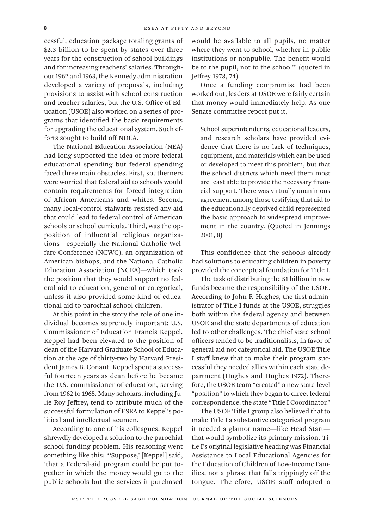cessful, education package totaling grants of \$2.3 billion to be spent by states over three years for the construction of school buildings and for increasing teachers' salaries. Throughout 1962 and 1963, the Kennedy administration developed a variety of proposals, including provisions to assist with school construction and teacher salaries, but the U.S. Office of Education (USOE) also worked on a series of programs that identified the basic requirements for upgrading the educational system. Such efforts sought to build off NDEA.

The National Education Association (NEA) had long supported the idea of more federal educational spending but federal spending faced three main obstacles. First, southerners were worried that federal aid to schools would contain requirements for forced integration of African Americans and whites. Second, many local-control stalwarts resisted any aid that could lead to federal control of American schools or school curricula. Third, was the opposition of influential religious organizations—especially the National Catholic Welfare Conference (NCWC), an organization of American bishops, and the National Catholic Education Association (NCEA)—which took the position that they would support no federal aid to education, general or categorical, unless it also provided some kind of educational aid to parochial school children.

At this point in the story the role of one individual becomes supremely important: U.S. Commissioner of Education Francis Keppel. Keppel had been elevated to the position of dean of the Harvard Graduate School of Education at the age of thirty-two by Harvard President James B. Conant. Keppel spent a successful fourteen years as dean before he became the U.S. commissioner of education, serving from 1962 to 1965. Many scholars, including Julie Roy Jeffrey, tend to attribute much of the successful formulation of ESEA to Keppel's political and intellectual acumen.

According to one of his colleagues, Keppel shrewdly developed a solution to the parochial school funding problem. His reasoning went something like this: "'Suppose,' [Keppel] said, 'that a Federal-aid program could be put together in which the money would go to the public schools but the services it purchased would be available to all pupils, no matter where they went to school, whether in public institutions or nonpublic. The benefit would be to the pupil, not to the school'" (quoted in Jeffrey 1978, 74).

Once a funding compromise had been worked out, leaders at USOE were fairly certain that money would immediately help. As one Senate committee report put it,

School superintendents, educational leaders, and research scholars have provided evidence that there is no lack of techniques, equipment, and materials which can be used or developed to meet this problem, but that the school districts which need them most are least able to provide the necessary financial support. There was virtually unanimous agreement among those testifying that aid to the educationally deprived child represented the basic approach to widespread improvement in the country. (Quoted in Jennings 2001, 8)

This confidence that the schools already had solutions to educating children in poverty provided the conceptual foundation for Title I.

The task of distributing the \$1 billion in new funds became the responsibility of the USOE. According to John F. Hughes, the first administrator of Title I funds at the USOE, struggles both within the federal agency and between USOE and the state departments of education led to other challenges. The chief state school officers tended to be traditionalists, in favor of general aid not categorical aid. The USOE Title I staff knew that to make their program successful they needed allies within each state department (Hughes and Hughes 1972). Therefore, the USOE team "created" a new state-level "position" to which they began to direct federal correspondence: the state "Title I Coordinator."

The USOE Title I group also believed that to make Title I a substantive categorical program it needed a glamor name—like Head Start that would symbolize its primary mission. Title I's original legislative heading was Financial Assistance to Local Educational Agencies for the Education of Children of Low-Income Families, not a phrase that falls trippingly off the tongue. Therefore, USOE staff adopted a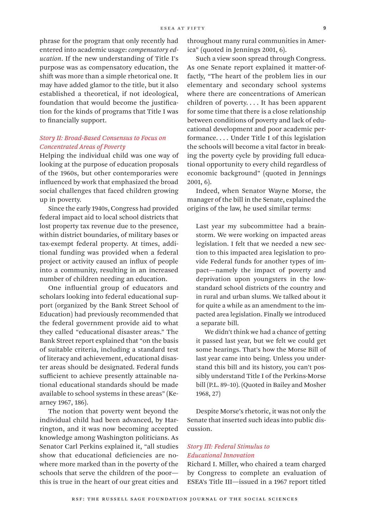phrase for the program that only recently had entered into academic usage: *compensatory education*. If the new understanding of Title I's purpose was as compensatory education, the shift was more than a simple rhetorical one. It may have added glamor to the title, but it also established a theoretical, if not ideological, foundation that would become the justification for the kinds of programs that Title I was to financially support.

# *Story II: Broad-Based Consensus to Focus on Concentrated Areas of Poverty*

Helping the individual child was one way of looking at the purpose of education proposals of the 1960s, but other contemporaries were influenced by work that emphasized the broad social challenges that faced children growing up in poverty.

Since the early 1940s, Congress had provided federal impact aid to local school districts that lost property tax revenue due to the presence, within district boundaries, of military bases or tax-exempt federal property. At times, additional funding was provided when a federal project or activity caused an influx of people into a community, resulting in an increased number of children needing an education.

One influential group of educators and scholars looking into federal educational support (organized by the Bank Street School of Education) had previously recommended that the federal government provide aid to what they called "educational disaster areas." The Bank Street report explained that "on the basis of suitable criteria, including a standard test of literacy and achievement, educational disaster areas should be designated. Federal funds sufficient to achieve presently attainable national educational standards should be made available to school systems in these areas" (Kearney 1967, 186).

The notion that poverty went beyond the individual child had been advanced, by Harrington, and it was now becoming accepted knowledge among Washington politicians. As Senator Carl Perkins explained it, "all studies show that educational deficiencies are nowhere more marked than in the poverty of the schools that serve the children of the poor this is true in the heart of our great cities and

throughout many rural communities in America" (quoted in Jennings 2001, 6).

Such a view soon spread through Congress. As one Senate report explained it matter-offactly, "The heart of the problem lies in our elementary and secondary school systems where there are concentrations of American children of poverty. . . . It has been apparent for some time that there is a close relationship between conditions of poverty and lack of educational development and poor academic performance. . . . Under Title I of this legislation the schools will become a vital factor in breaking the poverty cycle by providing full educational opportunity to every child regardless of economic background" (quoted in Jennings 2001, 6).

Indeed, when Senator Wayne Morse, the manager of the bill in the Senate, explained the origins of the law, he used similar terms:

Last year my subcommittee had a brainstorm. We were working on impacted areas legislation. I felt that we needed a new section to this impacted area legislation to provide Federal funds for another types of impact—namely the impact of poverty and deprivation upon youngsters in the lowstandard school districts of the country and in rural and urban slums. We talked about it for quite a while as an amendment to the impacted area legislation. Finally we introduced a separate bill.

We didn't think we had a chance of getting it passed last year, but we felt we could get some hearings. That's how the Morse Bill of last year came into being. Unless you understand this bill and its history, you can't possibly understand Title I of the Perkins-Morse bill (P.L. 89–10). (Quoted in Bailey and Mosher 1968, 27)

Despite Morse's rhetoric, it was not only the Senate that inserted such ideas into public discussion.

## *Story III: Federal Stimulus to Educational Innovation*

Richard I. Miller, who chaired a team charged by Congress to complete an evaluation of ESEA's Title III—issued in a 1967 report titled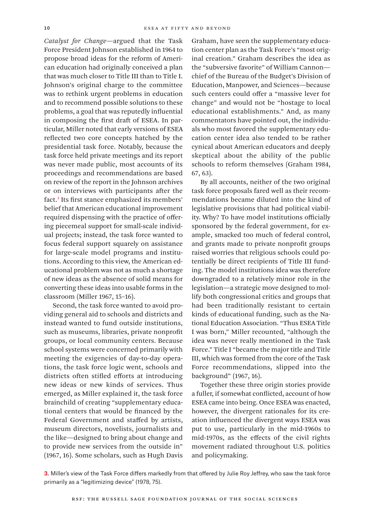*Catalyst for Change*—argued that the Task Force President Johnson established in 1964 to propose broad ideas for the reform of American education had originally conceived a plan that was much closer to Title III than to Title I. Johnson's original charge to the committee was to rethink urgent problems in education and to recommend possible solutions to these problems, a goal that was reputedly influential in composing the first draft of ESEA. In particular, Miller noted that early versions of ESEA reflected two core concepts hatched by the presidential task force. Notably, because the task force held private meetings and its report was never made public, most accounts of its proceedings and recommendations are based on review of the report in the Johnson archives or on interviews with participants after the fact.3 Its first stance emphasized its members' belief that American educational improvement required dispensing with the practice of offering piecemeal support for small-scale individual projects; instead, the task force wanted to focus federal support squarely on assistance for large-scale model programs and institutions. According to this view, the American educational problem was not as much a shortage of new ideas as the absence of solid means for converting these ideas into usable forms in the classroom (Miller 1967, 15–16).

Second, the task force wanted to avoid providing general aid to schools and districts and instead wanted to fund outside institutions, such as museums, libraries, private nonprofit groups, or local community centers. Because school systems were concerned primarily with meeting the exigencies of day-to-day operations, the task force logic went, schools and districts often stifled efforts at introducing new ideas or new kinds of services. Thus emerged, as Miller explained it, the task force brainchild of creating "supplementary educational centers that would be financed by the Federal Government and staffed by artists, museum directors, novelists, journalists and the like—designed to bring about change and to provide new services from the outside in" (1967, 16). Some scholars, such as Hugh Davis

Graham, have seen the supplementary education center plan as the Task Force's "most original creation." Graham describes the idea as the "subversive favorite" of William Cannon chief of the Bureau of the Budget's Division of Education, Manpower, and Sciences—because such centers could offer a "massive lever for change" and would not be "hostage to local educational establishments." And, as many commentators have pointed out, the individuals who most favored the supplementary education center idea also tended to be rather cynical about American educators and deeply skeptical about the ability of the public schools to reform themselves (Graham 1984, 67, 63).

By all accounts, neither of the two original task force proposals fared well as their recommendations became diluted into the kind of legislative provisions that had political viability. Why? To have model institutions officially sponsored by the federal government, for example, smacked too much of federal control, and grants made to private nonprofit groups raised worries that religious schools could potentially be direct recipients of Title III funding. The model institutions idea was therefore downgraded to a relatively minor role in the legislation—a strategic move designed to mollify both congressional critics and groups that had been traditionally resistant to certain kinds of educational funding, such as the National Education Association. "Thus ESEA Title I was born," Miller recounted, "although the idea was never really mentioned in the Task Force." Title I "became the major title and Title III, which was formed from the core of the Task Force recommendations, slipped into the background" (1967, 16).

Together these three origin stories provide a fuller, if somewhat conflicted, account of how ESEA came into being. Once ESEA was enacted, however, the divergent rationales for its creation influenced the divergent ways ESEA was put to use, particularly in the mid-1960s to mid-1970s, as the effects of the civil rights movement radiated throughout U.S. politics and policymaking.

**3.** Miller's view of the Task Force differs markedly from that offered by Julie Roy Jeffrey, who saw the task force primarily as a "legitimizing device" (1978, 75).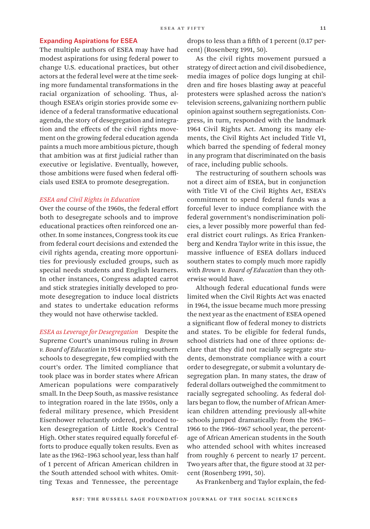#### Expanding Aspirations for ESEA

The multiple authors of ESEA may have had modest aspirations for using federal power to change U.S. educational practices, but other actors at the federal level were at the time seeking more fundamental transformations in the racial organization of schooling. Thus, although ESEA's origin stories provide some evidence of a federal transformative educational agenda, the story of desegregation and integration and the effects of the civil rights movement on the growing federal education agenda paints a much more ambitious picture, though that ambition was at first judicial rather than executive or legislative. Eventually, however, those ambitions were fused when federal officials used ESEA to promote desegregation.

### *ESEA and Civil Rights in Education*

Over the course of the 1960s, the federal effort both to desegregate schools and to improve educational practices often reinforced one another. In some instances, Congress took its cue from federal court decisions and extended the civil rights agenda, creating more opportunities for previously excluded groups, such as special needs students and English learners. In other instances, Congress adapted carrot and stick strategies initially developed to promote desegregation to induce local districts and states to undertake education reforms they would not have otherwise tackled.

*ESEA as Leverage for Desegregation* Despite the Supreme Court's unanimous ruling in *Brown v. Board of Education* in 1954 requiring southern schools to desegregate, few complied with the court's order. The limited compliance that took place was in border states where African American populations were comparatively small. In the Deep South, as massive resistance to integration roared in the late 1950s, only a federal military presence, which President Eisenhower reluctantly ordered, produced token desegregation of Little Rock's Central High. Other states required equally forceful efforts to produce equally token results. Even as late as the 1962–1963 school year, less than half of 1 percent of African American children in the South attended school with whites. Omitting Texas and Tennessee, the percentage

drops to less than a fifth of 1 percent (0.17 percent) (Rosenberg 1991, 50).

As the civil rights movement pursued a strategy of direct action and civil disobedience, media images of police dogs lunging at children and fire hoses blasting away at peaceful protesters were splashed across the nation's television screens, galvanizing northern public opinion against southern segregationists. Congress, in turn, responded with the landmark 1964 Civil Rights Act. Among its many elements, the Civil Rights Act included Title VI, which barred the spending of federal money in any program that discriminated on the basis of race, including public schools.

The restructuring of southern schools was not a direct aim of ESEA, but in conjunction with Title VI of the Civil Rights Act, ESEA's commitment to spend federal funds was a forceful lever to induce compliance with the federal government's nondiscrimination policies, a lever possibly more powerful than federal district court rulings. As Erica Frankenberg and Kendra Taylor write in this issue, the massive influence of ESEA dollars induced southern states to comply much more rapidly with *Brown v. Board of Education* than they otherwise would have*.*

Although federal educational funds were limited when the Civil Rights Act was enacted in 1964, the issue became much more pressing the next year as the enactment of ESEA opened a significant flow of federal money to districts and states. To be eligible for federal funds, school districts had one of three options: declare that they did not racially segregate students, demonstrate compliance with a court order to desegregate, or submit a voluntary desegregation plan. In many states, the draw of federal dollars outweighed the commitment to racially segregated schooling. As federal dollars began to flow, the number of African American children attending previously all-white schools jumped dramatically: from the 1965– 1966 to the 1966–1967 school year, the percentage of African American students in the South who attended school with whites increased from roughly 6 percent to nearly 17 percent. Two years after that, the figure stood at 32 percent (Rosenberg 1991, 50).

As Frankenberg and Taylor explain, the fed-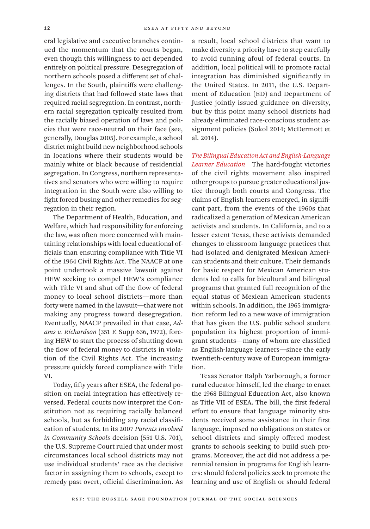eral legislative and executive branches continued the momentum that the courts began, even though this willingness to act depended entirely on political pressure. Desegregation of northern schools posed a different set of challenges. In the South, plaintiffs were challenging districts that had followed state laws that required racial segregation. In contrast, northern racial segregation typically resulted from the racially biased operation of laws and policies that were race-neutral on their face (see, generally, Douglas 2005). For example, a school district might build new neighborhood schools in locations where their students would be mainly white or black because of residential segregation. In Congress, northern representatives and senators who were willing to require integration in the South were also willing to fight forced busing and other remedies for segregation in their region.

The Department of Health, Education, and Welfare, which had responsibility for enforcing the law, was often more concerned with maintaining relationships with local educational officials than ensuring compliance with Title VI of the 1964 Civil Rights Act. The NAACP at one point undertook a massive lawsuit against HEW seeking to compel HEW's compliance with Title VI and shut off the flow of federal money to local school districts—more than forty were named in the lawsuit—that were not making any progress toward desegregation. Eventually, NAACP prevailed in that case, *Adams v. Richardson* (351 F. Supp 636, 1972), forcing HEW to start the process of shutting down the flow of federal money to districts in violation of the Civil Rights Act. The increasing pressure quickly forced compliance with Title VI.

Today, fifty years after ESEA, the federal position on racial integration has effectively reversed. Federal courts now interpret the Constitution not as requiring racially balanced schools, but as forbidding any racial classification of students. In its 2007 *Parents Involved in Community Schools* decision (551 U.S. 701), the U.S. Supreme Court ruled that under most circumstances local school districts may not use individual students' race as the decisive factor in assigning them to schools, except to remedy past overt, official discrimination. As

a result, local school districts that want to make diversity a priority have to step carefully to avoid running afoul of federal courts. In addition, local political will to promote racial integration has diminished significantly in the United States. In 2011, the U.S. Department of Education (ED) and Department of Justice jointly issued guidance on diversity, but by this point many school districts had already eliminated race-conscious student assignment policies (Sokol 2014; McDermott et al. 2014).

*The Bilingual Education Act and English-Language Learner Education* The hard-fought victories of the civil rights movement also inspired other groups to pursue greater educational justice through both courts and Congress. The claims of English learners emerged, in significant part, from the events of the 1960s that radicalized a generation of Mexican American activists and students. In California, and to a lesser extent Texas, these activists demanded changes to classroom language practices that had isolated and denigrated Mexican American students and their culture. Their demands for basic respect for Mexican American students led to calls for bicultural and bilingual programs that granted full recognition of the equal status of Mexican American students within schools. In addition, the 1965 immigration reform led to a new wave of immigration that has given the U.S. public school student population its highest proportion of immigrant students—many of whom are classified as English-language learners—since the early twentieth-century wave of European immigration.

Texas Senator Ralph Yarborough, a former rural educator himself, led the charge to enact the 1968 Bilingual Education Act, also known as Title VII of ESEA. The bill, the first federal effort to ensure that language minority students received some assistance in their first language, imposed no obligations on states or school districts and simply offered modest grants to schools seeking to build such programs. Moreover, the act did not address a perennial tension in programs for English learners: should federal policies seek to promote the learning and use of English or should federal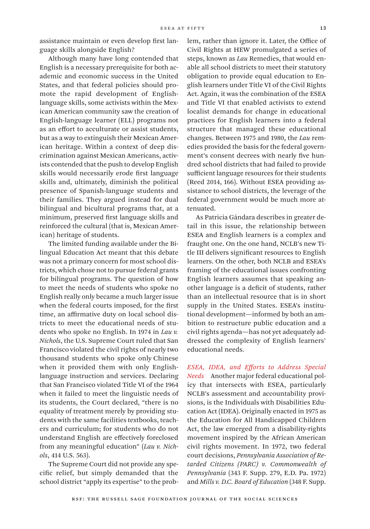assistance maintain or even develop first language skills alongside English?

Although many have long contended that English is a necessary prerequisite for both academic and economic success in the United States, and that federal policies should promote the rapid development of Englishlanguage skills, some activists within the Mexican American community saw the creation of English-language learner (ELL) programs not as an effort to acculturate or assist students, but as a way to extinguish their Mexican American heritage. Within a context of deep discrimination against Mexican Americans, activists contended that the push to develop English skills would necessarily erode first language skills and, ultimately, diminish the political presence of Spanish-language students and their families. They argued instead for dual bilingual and bicultural programs that, at a minimum, preserved first language skills and reinforced the cultural (that is, Mexican American) heritage of students.

The limited funding available under the Bilingual Education Act meant that this debate was not a primary concern for most school districts, which chose not to pursue federal grants for bilingual programs. The question of how to meet the needs of students who spoke no English really only became a much larger issue when the federal courts imposed, for the first time, an affirmative duty on local school districts to meet the educational needs of students who spoke no English. In 1974 in *Lau v. Nichols*, the U.S. Supreme Court ruled that San Francisco violated the civil rights of nearly two thousand students who spoke only Chinese when it provided them with only Englishlanguage instruction and services. Declaring that San Francisco violated Title VI of the 1964 when it failed to meet the linguistic needs of its students, the Court declared, "there is no equality of treatment merely by providing students with the same facilities textbooks, teachers and curriculum; for students who do not understand English are effectively foreclosed from any meaningful education" (*Lau v. Nichols*, 414 U.S. 563).

The Supreme Court did not provide any specific relief, but simply demanded that the school district "apply its expertise" to the problem, rather than ignore it. Later, the Office of Civil Rights at HEW promulgated a series of steps, known as *Lau* Remedies, that would enable all school districts to meet their statutory obligation to provide equal education to English learners under Title VI of the Civil Rights Act. Again, it was the combination of the ESEA and Title VI that enabled activists to extend localist demands for change in educational practices for English learners into a federal structure that managed these educational changes. Between 1975 and 1980, the *Lau* remedies provided the basis for the federal government's consent decrees with nearly five hundred school districts that had failed to provide sufficient language resources for their students (Reed 2014, 166). Without ESEA providing assistance to school districts, the leverage of the federal government would be much more attenuated.

As Patricia Gándara describes in greater detail in this issue, the relationship between ESEA and English learners is a complex and fraught one. On the one hand, NCLB's new Title III delivers significant resources to English learners. On the other, both NCLB and ESEA's framing of the educational issues confronting English learners assumes that speaking another language is a deficit of students, rather than an intellectual resource that is in short supply in the United States. ESEA's institutional development—informed by both an ambition to restructure public education and a civil rights agenda—has not yet adequately addressed the complexity of English learners' educational needs.

*ESEA, IDEA, and Efforts to Address Special Needs* Another major federal educational policy that intersects with ESEA, particularly NCLB's assessment and accountability provisions, is the Individuals with Disabilities Education Act (IDEA). Originally enacted in 1975 as the Education for All Handicapped Children Act, the law emerged from a disability-rights movement inspired by the African American civil rights movement. In 1972, two federal court decisions, *Pennsylvania Association of Retarded Citizens (PARC) v. Commonwealth of Pennsylvania* (343 F. Supp. 279, E.D. Pa. 1972) and *Mills v. D.C. Board of Education* (348 F. Supp.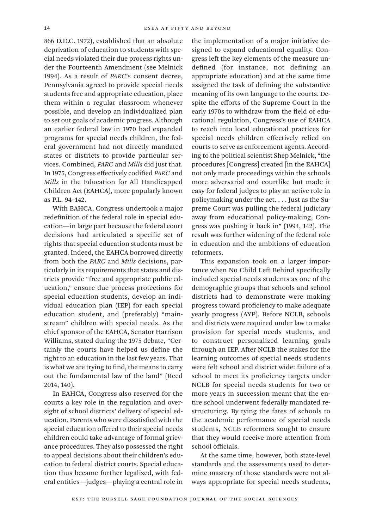866 D.D.C. 1972), established that an absolute deprivation of education to students with special needs violated their due process rights under the Fourteenth Amendment (see Melnick 1994). As a result of *PARC*'s consent decree, Pennsylvania agreed to provide special needs students free and appropriate education, place them within a regular classroom whenever possible, and develop an individualized plan to set out goals of academic progress. Although an earlier federal law in 1970 had expanded programs for special needs children, the federal government had not directly mandated states or districts to provide particular services. Combined, *PARC* and *Mills* did just that. In 1975, Congress effectively codified *PARC* and *Mills* in the Education for All Handicapped Children Act (EAHCA), more popularly known as P.L. 94–142.

With EAHCA, Congress undertook a major redefinition of the federal role in special education—in large part because the federal court decisions had articulated a specific set of rights that special education students must be granted. Indeed, the EAHCA borrowed directly from both the *PARC* and *Mills* decisions, particularly in its requirements that states and districts provide "free and appropriate public education," ensure due process protections for special education students, develop an individual education plan (IEP) for each special education student, and (preferably) "mainstream" children with special needs. As the chief sponsor of the EAHCA, Senator Harrison Williams, stated during the 1975 debate, "Certainly the courts have helped us define the right to an education in the last few years. That is what we are trying to find, the means to carry out the fundamental law of the land" (Reed 2014, 140).

In EAHCA, Congress also reserved for the courts a key role in the regulation and oversight of school districts' delivery of special education. Parents who were dissatisfied with the special education offered to their special needs children could take advantage of formal grievance procedures. They also possessed the right to appeal decisions about their children's education to federal district courts. Special education thus became further legalized, with federal entities—judges—playing a central role in

the implementation of a major initiative designed to expand educational equality. Congress left the key elements of the measure undefined (for instance, not defining an appropriate education) and at the same time assigned the task of defining the substantive meaning of its own language to the courts. Despite the efforts of the Supreme Court in the early 1970s to withdraw from the field of educational regulation, Congress's use of EAHCA to reach into local educational practices for special needs children effectively relied on courts to serve as enforcement agents. According to the political scientist Shep Melnick, "the procedures [Congress] created [in the EAHCA] not only made proceedings within the schools more adversarial and courtlike but made it easy for federal judges to play an active role in policymaking under the act. . . . Just as the Supreme Court was pulling the federal judiciary away from educational policy-making, Congress was pushing it back in" (1994, 142). The result was further widening of the federal role in education and the ambitions of education reformers.

This expansion took on a larger importance when No Child Left Behind specifically included special needs students as one of the demographic groups that schools and school districts had to demonstrate were making progress toward proficiency to make adequate yearly progress (AYP). Before NCLB, schools and districts were required under law to make provision for special needs students, and to construct personalized learning goals through an IEP. After NCLB the stakes for the learning outcomes of special needs students were felt school and district wide: failure of a school to meet its proficiency targets under NCLB for special needs students for two or more years in succession meant that the entire school underwent federally mandated restructuring. By tying the fates of schools to the academic performance of special needs students, NCLB reformers sought to ensure that they would receive more attention from school officials.

At the same time, however, both state-level standards and the assessments used to determine mastery of those standards were not always appropriate for special needs students,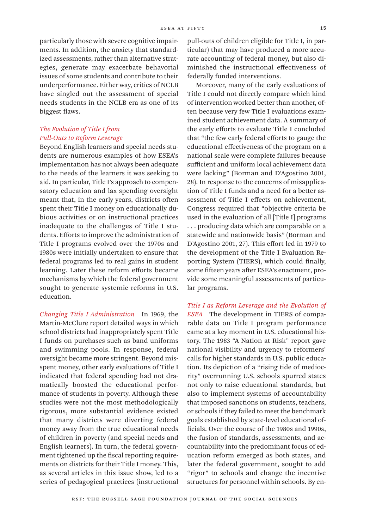particularly those with severe cognitive impairments. In addition, the anxiety that standardized assessments, rather than alternative strategies, generate may exacerbate behavorial issues of some students and contribute to their underperformance. Either way, critics of NCLB have singled out the assessment of special needs students in the NCLB era as one of its biggest flaws.

# *The Evolution of Title I from Pull-Outs to Reform Leverage*

Beyond English learners and special needs students are numerous examples of how ESEA's implementation has not always been adequate to the needs of the learners it was seeking to aid. In particular, Title I's approach to compensatory education and lax spending oversight meant that, in the early years, districts often spent their Title I money on educationally dubious activities or on instructional practices inadequate to the challenges of Title I students. Efforts to improve the administration of Title I programs evolved over the 1970s and 1980s were initially undertaken to ensure that federal programs led to real gains in student learning. Later these reform efforts became mechanisms by which the federal government sought to generate systemic reforms in U.S. education.

*Changing Title I Administration* In 1969, the Martin-McClure report detailed ways in which school districts had inappropriately spent Title I funds on purchases such as band uniforms and swimming pools. In response, federal oversight became more stringent. Beyond misspent money, other early evaluations of Title I indicated that federal spending had not dramatically boosted the educational performance of students in poverty. Although these studies were not the most methodologically rigorous, more substantial evidence existed that many districts were diverting federal money away from the true educational needs of children in poverty (and special needs and English learners). In turn, the federal government tightened up the fiscal reporting requirements on districts for their Title I money. This, as several articles in this issue show, led to a series of pedagogical practices (instructional

pull-outs of children eligible for Title I, in particular) that may have produced a more accurate accounting of federal money, but also diminished the instructional effectiveness of federally funded interventions.

Moreover, many of the early evaluations of Title I could not directly compare which kind of intervention worked better than another, often because very few Title I evaluations examined student achievement data. A summary of the early efforts to evaluate Title I concluded that "the few early federal efforts to gauge the educational effectiveness of the program on a national scale were complete failures because sufficient and uniform local achievement data were lacking" (Borman and D'Agostino 2001, 28). In response to the concerns of misapplication of Title I funds and a need for a better assessment of Title I effects on achievement, Congress required that "objective criteria be used in the evaluation of all [Title I] programs . . . producing data which are comparable on a statewide and nationwide basis" (Borman and D'Agostino 2001, 27). This effort led in 1979 to the development of the Title I Evaluation Reporting System (TIERS), which could finally, some fifteen years after ESEA's enactment, provide some meaningful assessments of particular programs.

*Title I as Reform Leverage and the Evolution of ESEA* The development in TIERS of comparable data on Title I program performance came at a key moment in U.S. educational history. The 1983 "A Nation at Risk" report gave national visibility and urgency to reformers' calls for higher standards in U.S. public education. Its depiction of a "rising tide of mediocrity" overrunning U.S. schools spurred states not only to raise educational standards, but also to implement systems of accountability that imposed sanctions on students, teachers, or schools if they failed to meet the benchmark goals established by state-level educational officials. Over the course of the 1980s and 1990s, the fusion of standards, assessments, and accountability into the predominant focus of education reform emerged as both states, and later the federal government, sought to add "rigor" to schools and change the incentive structures for personnel within schools. By en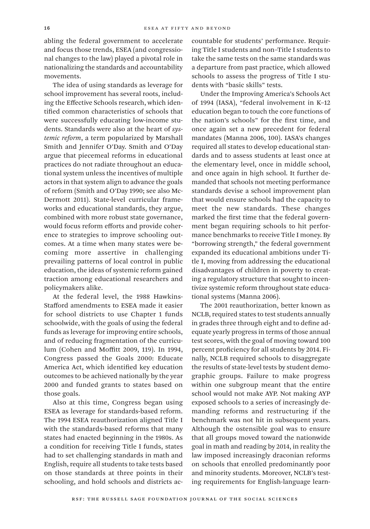abling the federal government to accelerate and focus those trends, ESEA (and congressional changes to the law) played a pivotal role in nationalizing the standards and accountability movements.

The idea of using standards as leverage for school improvement has several roots, including the Effective Schools research, which identified common characteristics of schools that were successfully educating low-income students. Standards were also at the heart of *systemic reform*, a term popularized by Marshall Smith and Jennifer O'Day. Smith and O'Day argue that piecemeal reforms in educational practices do not radiate throughout an educational system unless the incentives of multiple actors in that system align to advance the goals of reform (Smith and O'Day 1990; see also Mc-Dermott 2011). State-level curricular frameworks and educational standards, they argue, combined with more robust state governance, would focus reform efforts and provide coherence to strategies to improve schooling outcomes. At a time when many states were becoming more assertive in challenging prevailing patterns of local control in public education, the ideas of systemic reform gained traction among educational researchers and policymakers alike.

At the federal level, the 1988 Hawkins-Stafford amendments to ESEA made it easier for school districts to use Chapter 1 funds schoolwide, with the goals of using the federal funds as leverage for improving entire schools, and of reducing fragmentation of the curriculum (Cohen and Moffitt 2009, 119). In 1994, Congress passed the Goals 2000: Educate America Act, which identified key education outcomes to be achieved nationally by the year 2000 and funded grants to states based on those goals.

Also at this time, Congress began using ESEA as leverage for standards-based reform. The 1994 ESEA reauthorization aligned Title I with the standards-based reforms that many states had enacted beginning in the 1980s. As a condition for receiving Title I funds, states had to set challenging standards in math and English, require all students to take tests based on those standards at three points in their schooling, and hold schools and districts accountable for students' performance. Requiring Title I students and non–Title I students to take the same tests on the same standards was a departure from past practice, which allowed schools to assess the progress of Title I students with "basic skills" tests.

Under the Improving America's Schools Act of 1994 (IASA), "federal involvement in K–12 education began to touch the core functions of the nation's schools" for the first time, and once again set a new precedent for federal mandates (Manna 2006, 100). IASA's changes required all states to develop educational standards and to assess students at least once at the elementary level, once in middle school, and once again in high school. It further demanded that schools not meeting performance standards devise a school improvement plan that would ensure schools had the capacity to meet the new standards. These changes marked the first time that the federal government began requiring schools to hit performance benchmarks to receive Title I money. By "borrowing strength," the federal government expanded its educational ambitions under Title I, moving from addressing the educational disadvantages of children in poverty to creating a regulatory structure that sought to incentivize systemic reform throughout state educational systems (Manna 2006).

The 2001 reauthorization, better known as NCLB, required states to test students annually in grades three through eight and to define adequate yearly progress in terms of those annual test scores, with the goal of moving toward 100 percent proficiency for all students by 2014. Finally, NCLB required schools to disaggregate the results of state-level tests by student demographic groups. Failure to make progress within one subgroup meant that the entire school would not make AYP. Not making AYP exposed schools to a series of increasingly demanding reforms and restructuring if the benchmark was not hit in subsequent years. Although the ostensible goal was to ensure that all groups moved toward the nationwide goal in math and reading by 2014, in reality the law imposed increasingly draconian reforms on schools that enrolled predominantly poor and minority students. Moreover, NCLB's testing requirements for English-language learn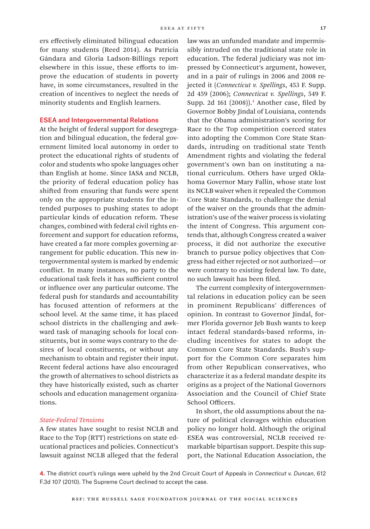ers effectively eliminated bilingual education for many students (Reed 2014). As Patricia Gándara and Gloria Ladson-Billings report elsewhere in this issue, these efforts to improve the education of students in poverty have, in some circumstances, resulted in the creation of incentives to neglect the needs of minority students and English learners.

## ESEA and Intergovernmental Relations

At the height of federal support for desegregation and bilingual education, the federal government limited local autonomy in order to protect the educational rights of students of color and students who spoke languages other than English at home. Since IASA and NCLB, the priority of federal education policy has shifted from ensuring that funds were spent only on the appropriate students for the intended purposes to pushing states to adopt particular kinds of education reform. These changes, combined with federal civil rights enforcement and support for education reforms, have created a far more complex governing arrangement for public education. This new intergovernmental system is marked by endemic conflict. In many instances, no party to the educational task feels it has sufficient control or influence over any particular outcome. The federal push for standards and accountability has focused attention of reformers at the school level. At the same time, it has placed school districts in the challenging and awkward task of managing schools for local constituents, but in some ways contrary to the desires of local constituents, or without any mechanism to obtain and register their input. Recent federal actions have also encouraged the growth of alternatives to school districts as they have historically existed, such as charter schools and education management organizations.

## *State-Federal Tensions*

A few states have sought to resist NCLB and Race to the Top (RTT) restrictions on state educational practices and policies. Connecticut's lawsuit against NCLB alleged that the federal

law was an unfunded mandate and impermissibly intruded on the traditional state role in education. The federal judiciary was not impressed by Connecticut's argument, however, and in a pair of rulings in 2006 and 2008 rejected it (*Connecticut v. Spellings*, 453 F. Supp. 2d 459 (2006); *Connecticut v. Spellings*, 549 F. Supp. 2d 161 (2008)).4 Another case, filed by Governor Bobby Jindal of Louisiana, contends that the Obama administration's scoring for Race to the Top competition coerced states into adopting the Common Core State Standards, intruding on traditional state Tenth Amendment rights and violating the federal government's own ban on instituting a national curriculum. Others have urged Oklahoma Governor Mary Fallin, whose state lost its NCLB waiver when it repealed the Common Core State Standards, to challenge the denial of the waiver on the grounds that the administration's use of the waiver process is violating the intent of Congress. This argument contends that, although Congress created a waiver process, it did not authorize the executive branch to pursue policy objectives that Congress had either rejected or not authorized—or were contrary to existing federal law. To date, no such lawsuit has been filed.

The current complexity of intergovernmental relations in education policy can be seen in prominent Republicans' differences of opinion. In contrast to Governor Jindal, former Florida governor Jeb Bush wants to keep intact federal standards-based reforms, including incentives for states to adopt the Common Core State Standards. Bush's support for the Common Core separates him from other Republican conservatives, who characterize it as a federal mandate despite its origins as a project of the National Governors Association and the Council of Chief State School Officers.

In short, the old assumptions about the nature of political cleavages within education policy no longer hold. Although the original ESEA was controversial, NCLB received remarkable bipartisan support. Despite this support, the National Education Association, the

**4.** The district court's rulings were upheld by the 2nd Circuit Court of Appeals in *Connecticut v. Duncan*, 612 F.3d 107 (2010). The Supreme Court declined to accept the case.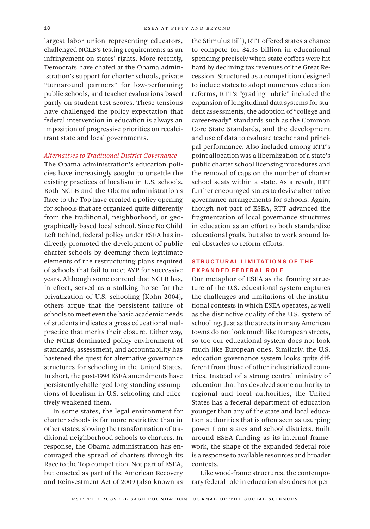largest labor union representing educators, challenged NCLB's testing requirements as an infringement on states' rights. More recently, Democrats have chafed at the Obama administration's support for charter schools, private "turnaround partners" for low-performing public schools, and teacher evaluations based partly on student test scores. These tensions have challenged the policy expectation that federal intervention in education is always an imposition of progressive priorities on recalcitrant state and local governments.

#### *Alternatives to Traditional District Governance*

The Obama administration's education policies have increasingly sought to unsettle the existing practices of localism in U.S. schools. Both NCLB and the Obama administration's Race to the Top have created a policy opening for schools that are organized quite differently from the traditional, neighborhood, or geographically based local school. Since No Child Left Behind, federal policy under ESEA has indirectly promoted the development of public charter schools by deeming them legitimate elements of the restructuring plans required of schools that fail to meet AYP for successive years. Although some contend that NCLB has, in effect, served as a stalking horse for the privatization of U.S. schooling (Kohn 2004), others argue that the persistent failure of schools to meet even the basic academic needs of students indicates a gross educational malpractice that merits their closure. Either way, the NCLB-dominated policy environment of standards, assessment, and accountability has hastened the quest for alternative governance structures for schooling in the United States. In short, the post-1994 ESEA amendments have persistently challenged long-standing assumptions of localism in U.S. schooling and effectively weakened them.

In some states, the legal environment for charter schools is far more restrictive than in other states, slowing the transformation of traditional neighborhood schools to charters. In response, the Obama administration has encouraged the spread of charters through its Race to the Top competition. Not part of ESEA, but enacted as part of the American Recovery and Reinvestment Act of 2009 (also known as

the Stimulus Bill), RTT offered states a chance to compete for \$4.35 billion in educational spending precisely when state coffers were hit hard by declining tax revenues of the Great Recession. Structured as a competition designed to induce states to adopt numerous education reforms, RTT's "grading rubric" included the expansion of longitudinal data systems for student assessments, the adoption of "college and career-ready" standards such as the Common Core State Standards, and the development and use of data to evaluate teacher and principal performance. Also included among RTT's point allocation was a liberalization of a state's public charter school licensing procedures and the removal of caps on the number of charter school seats within a state. As a result, RTT further encouraged states to devise alternative governance arrangements for schools. Again, though not part of ESEA, RTT advanced the fragmentation of local governance structures in education as an effort to both standardize educational goals, but also to work around local obstacles to reform efforts.

# Structural Limitations of the Expanded Federal Role

Our metaphor of ESEA as the framing structure of the U.S. educational system captures the challenges and limitations of the institutional contexts in which ESEA operates, as well as the distinctive quality of the U.S. system of schooling. Just as the streets in many American towns do not look much like European streets, so too our educational system does not look much like European ones. Similarly, the U.S. education governance system looks quite different from those of other industrialized countries. Instead of a strong central ministry of education that has devolved some authority to regional and local authorities, the United States has a federal department of education younger than any of the state and local education authorities that is often seen as usurping power from states and school districts. Built around ESEA funding as its internal framework, the shape of the expanded federal role is a response to available resources and broader contexts.

Like wood-frame structures, the contemporary federal role in education also does not per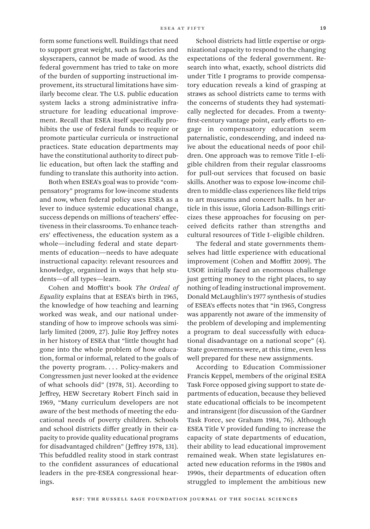form some functions well. Buildings that need to support great weight, such as factories and skyscrapers, cannot be made of wood. As the federal government has tried to take on more of the burden of supporting instructional improvement, its structural limitations have similarly become clear. The U.S. public education system lacks a strong administrative infrastructure for leading educational improvement. Recall that ESEA itself specifically prohibits the use of federal funds to require or promote particular curricula or instructional practices. State education departments may have the constitutional authority to direct public education, but often lack the staffing and funding to translate this authority into action.

Both when ESEA's goal was to provide "compensatory" programs for low-income students and now, when federal policy uses ESEA as a lever to induce systemic educational change, success depends on millions of teachers' effectiveness in their classrooms. To enhance teachers' effectiveness, the education system as a whole—including federal and state departments of education—needs to have adequate instructional capacity: relevant resources and knowledge, organized in ways that help students—of all types—learn.

Cohen and Moffitt's book *The Ordeal of Equality* explains that at ESEA's birth in 1965, the knowledge of how teaching and learning worked was weak, and our national understanding of how to improve schools was similarly limited (2009, 27). Julie Roy Jeffrey notes in her history of ESEA that "little thought had gone into the whole problem of how education, formal or informal, related to the goals of the poverty program. . . . Policy-makers and Congressmen just never looked at the evidence of what schools did" (1978, 51). According to Jeffrey, HEW Secretary Robert Finch said in 1969, "Many curriculum developers are not aware of the best methods of meeting the educational needs of poverty children. Schools and school districts differ greatly in their capacity to provide quality educational programs for disadvantaged children" (Jeffrey 1978, 131). This befuddled reality stood in stark contrast to the confident assurances of educational leaders in the pre-ESEA congressional hearings.

School districts had little expertise or organizational capacity to respond to the changing expectations of the federal government. Research into what, exactly, school districts did under Title I programs to provide compensatory education reveals a kind of grasping at straws as school districts came to terms with the concerns of students they had systematically neglected for decades. From a twentyfirst-century vantage point, early efforts to engage in compensatory education seem paternalistic, condescending, and indeed naïve about the educational needs of poor children. One approach was to remove Title I–eligible children from their regular classrooms for pull-out services that focused on basic skills. Another was to expose low-income children to middle-class experiences like field trips to art museums and concert halls. In her article in this issue, Gloria Ladson-Billings criticizes these approaches for focusing on perceived deficits rather than strengths and cultural resources of Title I–eligible children.

The federal and state governments themselves had little experience with educational improvement (Cohen and Moffitt 2009). The USOE initially faced an enormous challenge just getting money to the right places, to say nothing of leading instructional improvement. Donald McLaughlin's 1977 synthesis of studies of ESEA's effects notes that "in 1965, Congress was apparently not aware of the immensity of the problem of developing and implementing a program to deal successfully with educational disadvantage on a national scope" (4). State governments were, at this time, even less well prepared for these new assignments.

According to Education Commissioner Francis Keppel, members of the original ESEA Task Force opposed giving support to state departments of education, because they believed state educational officials to be incompetent and intransigent (for discussion of the Gardner Task Force, see Graham 1984, 76). Although ESEA Title V provided funding to increase the capacity of state departments of education, their ability to lead educational improvement remained weak. When state legislatures enacted new education reforms in the 1980s and 1990s, their departments of education often struggled to implement the ambitious new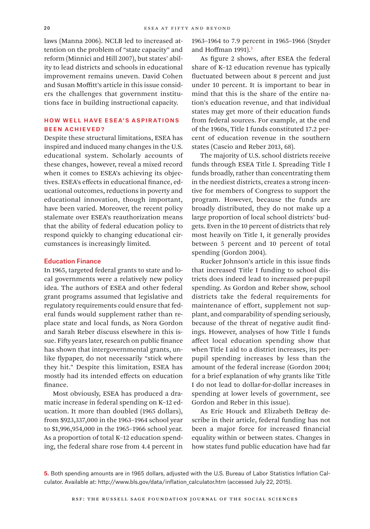laws (Manna 2006). NCLB led to increased attention on the problem of "state capacity" and reform (Minnici and Hill 2007), but states' ability to lead districts and schools in educational improvement remains uneven. David Cohen and Susan Moffitt's article in this issue considers the challenges that government institutions face in building instructional capacity.

# How Well Have ESEA's Aspir ations Been Achieved?

Despite these structural limitations, ESEA has inspired and induced many changes in the U.S. educational system. Scholarly accounts of these changes, however, reveal a mixed record when it comes to ESEA's achieving its objectives. ESEA's effects in educational finance, educational outcomes, reductions in poverty and educational innovation, though important, have been varied. Moreover, the recent policy stalemate over ESEA's reauthorization means that the ability of federal education policy to respond quickly to changing educational circumstances is increasingly limited.

#### Education Finance

In 1965, targeted federal grants to state and local governments were a relatively new policy idea. The authors of ESEA and other federal grant programs assumed that legislative and regulatory requirements could ensure that federal funds would supplement rather than replace state and local funds, as Nora Gordon and Sarah Reber discuss elsewhere in this issue. Fifty years later, research on public finance has shown that intergovernmental grants, unlike flypaper, do not necessarily "stick where they hit." Despite this limitation, ESEA has mostly had its intended effects on education finance.

Most obviously, ESEA has produced a dramatic increase in federal spending on K–12 education. It more than doubled (1965 dollars), from \$923,337,000 in the 1963–1964 school year to \$1,996,954,000 in the 1965–1966 school year. As a proportion of total K–12 education spending, the federal share rose from 4.4 percent in

1963–1964 to 7.9 percent in 1965–1966 (Snyder and Hoffman 1991).<sup>5</sup>

As figure 2 shows, after ESEA the federal share of K–12 education revenue has typically fluctuated between about 8 percent and just under 10 percent. It is important to bear in mind that this is the share of the entire nation's education revenue, and that individual states may get more of their education funds from federal sources. For example, at the end of the 1960s, Title I funds constituted 17.2 percent of education revenue in the southern states (Cascio and Reber 2013, 68).

The majority of U.S. school districts receive funds through ESEA Title I. Spreading Title I funds broadly, rather than concentrating them in the neediest districts, creates a strong incentive for members of Congress to support the program. However, because the funds are broadly distributed, they do not make up a large proportion of local school districts' budgets. Even in the 10 percent of districts that rely most heavily on Title I, it generally provides between 5 percent and 10 percent of total spending (Gordon 2004).

Rucker Johnson's article in this issue finds that increased Title I funding to school districts does indeed lead to increased per-pupil spending. As Gordon and Reber show, school districts take the federal requirements for maintenance of effort, supplement not supplant, and comparability of spending seriously, because of the threat of negative audit findings. However, analyses of how Title I funds affect local education spending show that when Title I aid to a district increases, its perpupil spending increases by less than the amount of the federal increase (Gordon 2004; for a brief explanation of why grants like Title I do not lead to dollar-for-dollar increases in spending at lower levels of government, see Gordon and Reber in this issue).

As Eric Houck and Elizabeth DeBray describe in their article, federal funding has not been a major force for increased financial equality within or between states. Changes in how states fund public education have had far

**<sup>5.</sup>** Both spending amounts are in 1965 dollars, adjusted with the U.S. Bureau of Labor Statistics Inflation Calculator. Available at: [http://www.bls.gov/data/inflation\\_calculator.htm](http://www.bls.gov/data/inflation_calculator.htm) (accessed July 22, 2015).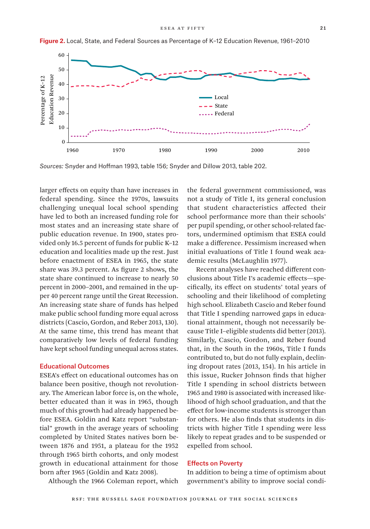

**Figure 2.** Local, State, and Federal Sources as Percentage of K–12 Education Revenue, 1961–2010

*Sources:* Snyder and Hoffman 1993, table 156; Snyder and Dillow 2013, table 202.

larger effects on equity than have increases in federal spending. Since the 1970s, lawsuits challenging unequal local school spending have led to both an increased funding role for most states and an increasing state share of public education revenue. In 1900, states provided only 16.5 percent of funds for public K–12 education and localities made up the rest. Just before enactment of ESEA in 1965, the state share was 39.3 percent. As figure 2 shows, the state share continued to increase to nearly 50 percent in 2000–2001, and remained in the upper 40 percent range until the Great Recession. An increasing state share of funds has helped make public school funding more equal across districts (Cascio, Gordon, and Reber 2013, 130). At the same time, this trend has meant that comparatively low levels of federal funding have kept school funding unequal across states.

#### Educational Outcomes

ESEA's effect on educational outcomes has on balance been positive, though not revolutionary. The American labor force is, on the whole, better educated than it was in 1965, though much of this growth had already happened before ESEA. Goldin and Katz report "substantial" growth in the average years of schooling completed by United States natives born between 1876 and 1951, a plateau for the 1952 through 1965 birth cohorts, and only modest growth in educational attainment for those born after 1965 (Goldin and Katz 2008).

Although the 1966 Coleman report, which

the federal government commissioned, was not a study of Title I, its general conclusion that student characteristics affected their school performance more than their schools' per pupil spending, or other school-related factors, undermined optimism that ESEA could make a difference. Pessimism increased when initial evaluations of Title I found weak academic results (McLaughlin 1977).

Recent analyses have reached different conclusions about Title I's academic effects—specifically, its effect on students' total years of schooling and their likelihood of completing high school. Elizabeth Cascio and Reber found that Title I spending narrowed gaps in educational attainment, though not necessarily because Title I–eligible students did better (2013). Similarly, Cascio, Gordon, and Reber found that, in the South in the 1960s, Title I funds contributed to, but do not fully explain, declining dropout rates (2013, 154). In his article in this issue, Rucker Johnson finds that higher Title I spending in school districts between 1965 and 1980 is associated with increased likelihood of high school graduation, and that the effect for low-income students is stronger than for others. He also finds that students in districts with higher Title I spending were less likely to repeat grades and to be suspended or expelled from school.

#### Effects on Poverty

In addition to being a time of optimism about government's ability to improve social condi-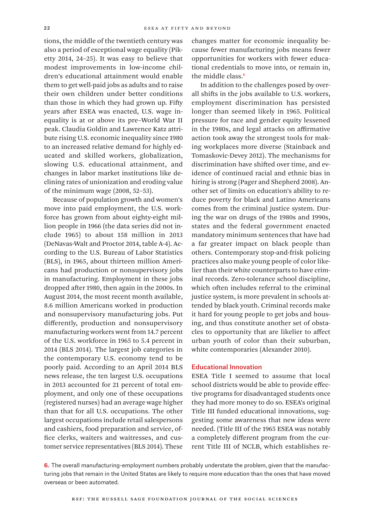tions, the middle of the twentieth century was also a period of exceptional wage equality (Piketty 2014, 24–25). It was easy to believe that modest improvements in low-income children's educational attainment would enable them to get well-paid jobs as adults and to raise their own children under better conditions than those in which they had grown up. Fifty years after ESEA was enacted, U.S. wage inequality is at or above its pre–World War II peak. Claudia Goldin and Lawrence Katz attribute rising U.S. economic inequality since 1980 to an increased relative demand for highly educated and skilled workers, globalization, slowing U.S. educational attainment, and changes in labor market institutions like declining rates of unionization and eroding value of the minimum wage (2008, 52–53).

Because of population growth and women's move into paid employment, the U.S. workforce has grown from about eighty-eight million people in 1966 (the data series did not include 1965) to about 158 million in 2013 (DeNavas-Walt and Proctor 2014, table A-4). According to the U.S. Bureau of Labor Statistics (BLS), in 1965, about thirteen million Americans had production or nonsupervisory jobs in manufacturing. Employment in these jobs dropped after 1980, then again in the 2000s. In August 2014, the most recent month available, 8.6 million Americans worked in production and nonsupervisory manufacturing jobs. Put differently, production and nonsupervisory manufacturing workers went from 14.7 percent of the U.S. workforce in 1965 to 5.4 percent in 2014 (BLS 2014). The largest job categories in the contemporary U.S. economy tend to be poorly paid. According to an April 2014 BLS news release, the ten largest U.S. occupations in 2013 accounted for 21 percent of total employment, and only one of these occupations (registered nurses) had an average wage higher than that for all U.S. occupations. The other largest occupations include retail salespersons and cashiers, food preparation and service, office clerks, waiters and waitresses, and customer service representatives (BLS 2014). These

changes matter for economic inequality because fewer manufacturing jobs means fewer opportunities for workers with fewer educational credentials to move into, or remain in, the middle class.<sup>6</sup>

In addition to the challenges posed by overall shifts in the jobs available to U.S. workers, employment discrimination has persisted longer than seemed likely in 1965. Political pressure for race and gender equity lessened in the 1980s, and legal attacks on affirmative action took away the strongest tools for making workplaces more diverse (Stainback and Tomaskovic-Devey 2012). The mechanisms for discrimination have shifted over time, and evidence of continued racial and ethnic bias in hiring is strong (Pager and Shepherd 2008). Another set of limits on education's ability to reduce poverty for black and Latino Americans comes from the criminal justice system. During the war on drugs of the 1980s and 1990s, states and the federal government enacted mandatory minimum sentences that have had a far greater impact on black people than others. Contemporary stop-and-frisk policing practices also make young people of color likelier than their white counterparts to have criminal records. Zero-tolerance school discipline, which often includes referral to the criminal justice system, is more prevalent in schools attended by black youth. Criminal records make it hard for young people to get jobs and housing, and thus constitute another set of obstacles to opportunity that are likelier to affect urban youth of color than their suburban, white contemporaries (Alexander 2010).

### Educational Innovation

ESEA Title I seemed to assume that local school districts would be able to provide effective programs for disadvantaged students once they had more money to do so. ESEA's original Title III funded educational innovations, suggesting some awareness that new ideas were needed. (Title III of the 1965 ESEA was notably a completely different program from the current Title III of NCLB, which establishes re-

**6.**. The overall manufacturing-employment numbers probably understate the problem, given that the manufacturing jobs that remain in the United States are likely to require more education than the ones that have moved overseas or been automated.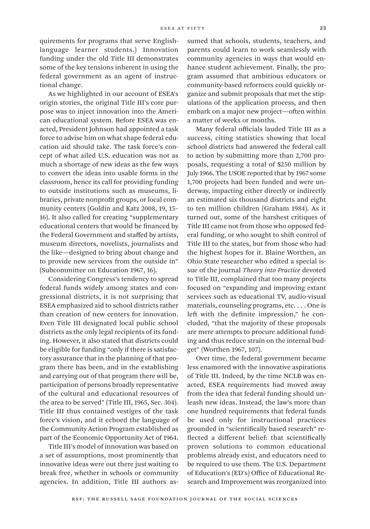quirements for programs that serve Englishlanguage learner students.) Innovation funding under the old Title III demonstrates some of the key tensions inherent in using the federal government as an agent of instructional change.

As we highlighted in our account of ESEA's origin stories, the original Title III's core purpose was to inject innovation into the American educational system. Before ESEA was enacted, President Johnson had appointed a task force to advise him on what shape federal education aid should take. The task force's concept of what ailed U.S. education was not as much a shortage of new ideas as the few ways to convert the ideas into usable forms in the classroom, hence its call for providing funding to outside institutions such as museums, libraries, private nonprofit groups, or local community centers (Goldin and Katz 2008, 19, 15– 16). It also called for creating "supplementary educational centers that would be financed by the Federal Government and staffed by artists, museum directors, novelists, journalists and the like—designed to bring about change and to provide new services from the outside in" (Subcommittee on Education 1967, 16).

Considering Congress's tendency to spread federal funds widely among states and congressional districts, it is not surprising that ESEA emphasized aid to school districts rather than creation of new centers for innovation. Even Title III designated local public school districts as the only legal recipients of its funding. However, it also stated that districts could be eligible for funding "only if there is satisfactory assurance that in the planning of that program there has been, and in the establishing and carrying out of that program there will be, participation of persons broadly representative of the cultural and educational resources of the area to be served" (Title III, 1965, Sec. 304). Title III thus contained vestiges of the task force's vision, and it echoed the language of the Community Action Program established as part of the Economic Opportunity Act of 1964.

Title III's model of innovation was based on a set of assumptions, most prominently that innovative ideas were out there just waiting to break free, whether in schools or community agencies. In addition, Title III authors assumed that schools, students, teachers, and parents could learn to work seamlessly with community agencies in ways that would enhance student achievement. Finally, the program assumed that ambitious educators or community-based reformers could quickly organize and submit proposals that met the stipulations of the application process, and then embark on a major new project—often within a matter of weeks or months.

Many federal officials lauded Title III as a success, citing statistics showing that local school districts had answered the federal call to action by submitting more than 2,700 proposals, requesting a total of \$250 million by July 1966. The USOE reported that by 1967 some 1,700 projects had been funded and were underway, impacting either directly or indirectly an estimated six thousand districts and eight to ten million children (Graham 1984). As it turned out, some of the harshest critiques of Title III came not from those who opposed federal funding, or who sought to shift control of Title III to the states, but from those who had the highest hopes for it. Blaine Worthen, an Ohio State researcher who edited a special issue of the journal *Theory into Practice* devoted to Title III, complained that too many projects focused on "expanding and improving extant services such as educational TV, audio-visual materials, counseling programs, etc. . . . One is left with the definite impression," he concluded, "that the majority of these proposals are mere attempts to procure additional funding and thus reduce strain on the internal budget" (Worthen 1967, 107).

Over time, the federal government became less enamored with the innovative aspirations of Title III. Indeed, by the time NCLB was enacted, ESEA requirements had moved away from the idea that federal funding should unleash new ideas. Instead, the law's more than one hundred requirements that federal funds be used only for instructional practices grounded in "scientifically based research" reflected a different belief: that scientifically proven solutions to common educational problems already exist, and educators need to be required to use them. The U.S. Department of Education's (ED's) Office of Educational Research and Improvement was reorganized into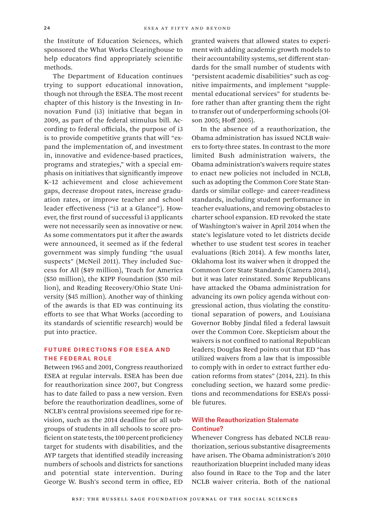the Institute of Education Sciences, which sponsored the What Works Clearinghouse to help educators find appropriately scientific methods.

The Department of Education continues trying to support educational innovation, though not through the ESEA. The most recent chapter of this history is the Investing in Innovation Fund (i3) initiative that began in 2009, as part of the federal stimulus bill. According to federal officials, the purpose of i3 is to provide competitive grants that will "expand the implementation of, and investment in, innovative and evidence-based practices, programs and strategies," with a special emphasis on initiatives that significantly improve K–12 achievement and close achievement gaps, decrease dropout rates, increase graduation rates, or improve teacher and school leader effectiveness ("i3 at a Glance"). However, the first round of successful i3 applicants were not necessarily seen as innovative or new. As some commentators put it after the awards were announced, it seemed as if the federal government was simply funding "the usual suspects" (McNeil 2011). They included Success for All (\$49 million), Teach for America (\$50 million), the KIPP Foundation (\$50 million), and Reading Recovery/Ohio State University (\$45 million). Another way of thinking of the awards is that ED was continuing its efforts to see that What Works (according to its standards of scientific research) would be put into practice.

# Future Directions for ESEA and the Federal Role

Between 1965 and 2001, Congress reauthorized ESEA at regular intervals. ESEA has been due for reauthorization since 2007, but Congress has to date failed to pass a new version. Even before the reauthorization deadlines, some of NCLB's central provisions seeemed ripe for revision, such as the 2014 deadline for all subgroups of students in all schools to score proficient on state tests, the 100 percent proficiency target for students with disabilities, and the AYP targets that identified steadily increasing numbers of schools and districts for sanctions and potential state intervention. During George W. Bush's second term in office, ED

granted waivers that allowed states to experiment with adding academic growth models to their accountability systems, set different standards for the small number of students with "persistent academic disabilities" such as cognitive impairments, and implement "supplemental educational services" for students before rather than after granting them the right to transfer out of underperforming schools (Olson 2005; Hoff 2005).

In the absence of a reauthorization, the Obama administration has issued NCLB waivers to forty-three states. In contrast to the more limited Bush administration waivers, the Obama administration's waivers require states to enact new policies not included in NCLB, such as adopting the Common Core State Standards or similar college- and career-readiness standards, including student performance in teacher evaluations, and removing obstacles to charter school expansion. ED revoked the state of Washington's waiver in April 2014 when the state's legislature voted to let districts decide whether to use student test scores in teacher evaluations (Rich 2014). A few months later, Oklahoma lost its waiver when it dropped the Common Core State Standards (Camera 2014), but it was later reinstated. Some Republicans have attacked the Obama administration for advancing its own policy agenda without congressional action, thus violating the constitutional separation of powers, and Louisiana Governor Bobby Jindal filed a federal lawsuit over the Common Core. Skepticism about the waivers is not confined to national Republican leaders; Douglas Reed points out that ED "has utilized waivers from a law that is impossible to comply with in order to extract further education reforms from states" (2014, 221). In this concluding section, we hazard some predictions and recommendations for ESEA's possible futures.

# Will the Reauthorization Stalemate Continue?

Whenever Congress has debated NCLB reauthorization, serious substantive disagreements have arisen. The Obama administration's 2010 reauthorization blueprint included many ideas also found in Race to the Top and the later NCLB waiver criteria. Both of the national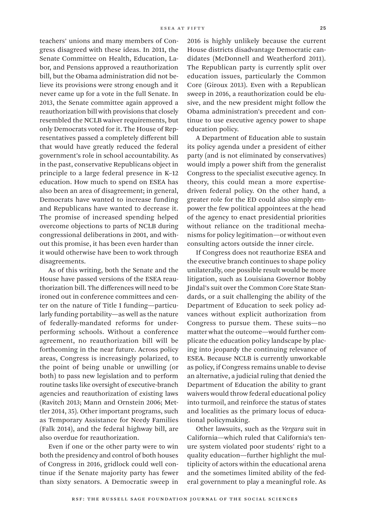teachers' unions and many members of Congress disagreed with these ideas. In 2011, the Senate Committee on Health, Education, Labor, and Pensions approved a reauthorization bill, but the Obama administration did not believe its provisions were strong enough and it never came up for a vote in the full Senate. In 2013, the Senate committee again approved a reauthorization bill with provisions that closely resembled the NCLB waiver requirements, but only Democrats voted for it. The House of Representatives passed a completely different bill that would have greatly reduced the federal government's role in school accountability. As in the past, conservative Republicans object in principle to a large federal presence in K–12 education. How much to spend on ESEA has also been an area of disagreement; in general, Democrats have wanted to increase funding and Republicans have wanted to decrease it. The promise of increased spending helped overcome objections to parts of NCLB during congressional deliberations in 2001, and without this promise, it has been even harder than it would otherwise have been to work through disagreements.

As of this writing, both the Senate and the House have passed versions of the ESEA reauthorization bill. The differences will need to be ironed out in conference committees and center on the nature of Title I funding—particularly funding portability—as well as the nature of federally-mandated reforms for underperforming schools. Without a conference agreement, no reauthorization bill will be forthcoming in the near future. Across policy areas, Congress is increasingly polarized, to the point of being unable or unwilling (or both) to pass new legislation and to perform routine tasks like oversight of executive-branch agencies and reauthorization of existing laws (Ravitch 2013; Mann and Ornstein 2006; Mettler 2014, 35). Other important programs, such as Temporary Assistance for Needy Families (Falk 2014), and the federal highway bill, are also overdue for reauthorization.

Even if one or the other party were to win both the presidency and control of both houses of Congress in 2016, gridlock could well continue if the Senate majority party has fewer than sixty senators. A Democratic sweep in

2016 is highly unlikely because the current House districts disadvantage Democratic candidates (McDonnell and Weatherford 2011). The Republican party is currently split over education issues, particularly the Common Core (Giroux 2013). Even with a Republican sweep in 2016, a reauthorization could be elusive, and the new president might follow the Obama administration's precedent and continue to use executive agency power to shape education policy.

A Department of Education able to sustain its policy agenda under a president of either party (and is not eliminated by conservatives) would imply a power shift from the generalist Congress to the specialist executive agency. In theory, this could mean a more expertisedriven federal policy. On the other hand, a greater role for the ED could also simply empower the few political appointees at the head of the agency to enact presidential priorities without reliance on the traditional mechanisms for policy legitimation—or without even consulting actors outside the inner circle.

If Congress does not reauthorize ESEA and the executive branch continues to shape policy unilaterally, one possible result would be more litigation, such as Louisiana Governor Bobby Jindal's suit over the Common Core State Standards, or a suit challenging the ability of the Department of Education to seek policy advances without explicit authorization from Congress to pursue them. These suits—no matter what the outcome—would further complicate the education policy landscape by placing into jeopardy the continuing relevance of ESEA. Because NCLB is currently unworkable as policy, if Congress remains unable to devise an alternative, a judicial ruling that denied the Department of Education the ability to grant waivers would throw federal educational policy into turmoil, and reinforce the status of states and localities as the primary locus of educational policymaking.

Other lawsuits, such as the *Vergara* suit in California—which ruled that California's tenure system violated poor students' right to a quality education—further highlight the multiplicity of actors within the educational arena and the sometimes limited ability of the federal government to play a meaningful role. As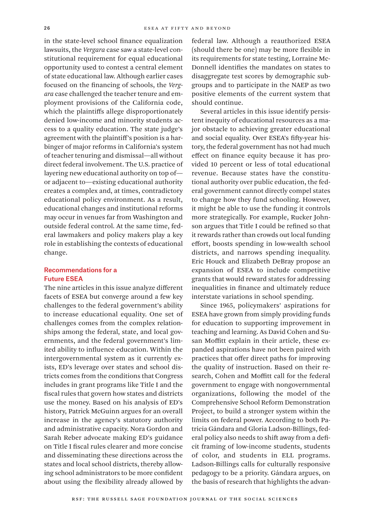in the state-level school finance equalization lawsuits, the *Vergara* case saw a state-level constitutional requirement for equal educational opportunity used to contest a central element of state educational law. Although earlier cases focused on the financing of schools, the *Vergara* case challenged the teacher tenure and employment provisions of the California code, which the plaintiffs allege disproportionately denied low-income and minority students access to a quality education. The state judge's agreement with the plaintiff's position is a harbinger of major reforms in California's system of teacher tenuring and dismissal—all without direct federal involvement. The U.S. practice of layering new educational authority on top of or adjacent to—existing educational authority creates a complex and, at times, contradictory educational policy environment. As a result, educational changes and institutional reforms may occur in venues far from Washington and outside federal control. At the same time, federal lawmakers and policy makers play a key role in establishing the contexts of educational change.

## Recommendations for a Future ESEA

The nine articles in this issue analyze different facets of ESEA but converge around a few key challenges to the federal government's ability to increase educational equality. One set of challenges comes from the complex relationships among the federal, state, and local governments, and the federal government's limited ability to influence education. Within the intergovernmental system as it currently exists, ED's leverage over states and school districts comes from the conditions that Congress includes in grant programs like Title I and the fiscal rules that govern how states and districts use the money. Based on his analysis of ED's history, Patrick McGuinn argues for an overall increase in the agency's statutory authority and administrative capacity. Nora Gordon and Sarah Reber advocate making ED's guidance on Title I fiscal rules clearer and more concise and disseminating these directions across the states and local school districts, thereby allowing school administrators to be more confident about using the flexibility already allowed by

federal law. Although a reauthorized ESEA (should there be one) may be more flexible in its requirements for state testing, Lorraine Mc-Donnell identifies the mandates on states to disaggregate test scores by demographic subgroups and to participate in the NAEP as two positive elements of the current system that should continue.

Several articles in this issue identify persistent inequity of educational resources as a major obstacle to achieving greater educational and social equality. Over ESEA's fifty-year history, the federal government has not had much effect on finance equity because it has provided 10 percent or less of total educational revenue. Because states have the constitutional authority over public education, the federal government cannot directly compel states to change how they fund schooling. However, it might be able to use the funding it controls more strategically. For example, Rucker Johnson argues that Title I could be refined so that it rewards rather than crowds out local funding effort, boosts spending in low-wealth school districts, and narrows spending inequality. Eric Houck and Elizabeth DeBray propose an expansion of ESEA to include competitive grants that would reward states for addressing inequalities in finance and ultimately reduce interstate variations in school spending.

Since 1965, policymakers' aspirations for ESEA have grown from simply providing funds for education to supporting improvement in teaching and learning. As David Cohen and Susan Moffitt explain in their article, these expanded aspirations have not been paired with practices that offer direct paths for improving the quality of instruction. Based on their research, Cohen and Moffitt call for the federal government to engage with nongovernmental organizations, following the model of the Comprehensive School Reform Demonstration Project, to build a stronger system within the limits on federal power. According to both Patricia Gándara and Gloria Ladson-Billings, federal policy also needs to shift away from a deficit framing of low-income students, students of color, and students in ELL programs. Ladson-Billings calls for culturally responsive pedagogy to be a priority. Gándara argues, on the basis of research that highlights the advan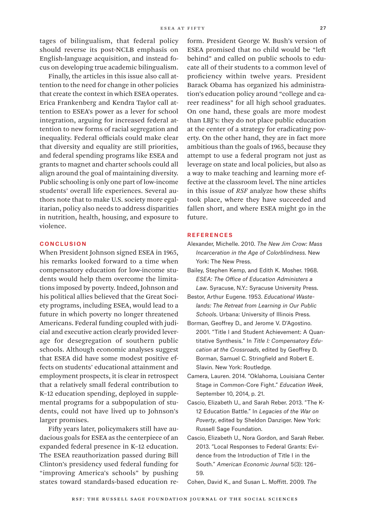tages of bilingualism, that federal policy should reverse its post-NCLB emphasis on English-language acquisition, and instead focus on developing true academic bilingualism.

Finally, the articles in this issue also call attention to the need for change in other policies that create the context in which ESEA operates. Erica Frankenberg and Kendra Taylor call attention to ESEA's power as a lever for school integration, arguing for increased federal attention to new forms of racial segregation and inequality. Federal officials could make clear that diversity and equality are still priorities, and federal spending programs like ESEA and grants to magnet and charter schools could all align around the goal of maintaining diversity. Public schooling is only one part of low-income students' overall life experiences. Several authors note that to make U.S. society more egalitarian, policy also needs to address disparities in nutrition, health, housing, and exposure to violence.

## **CONCLUSION**

When President Johnson signed ESEA in 1965, his remarks looked forward to a time when compensatory education for low-income students would help them overcome the limitations imposed by poverty. Indeed, Johnson and his political allies believed that the Great Society programs, including ESEA, would lead to a future in which poverty no longer threatened Americans. Federal funding coupled with judicial and executive action clearly provided leverage for desegregation of southern public schools. Although economic analyses suggest that ESEA did have some modest positive effects on students' educational attainment and employment prospects, it is clear in retrospect that a relatively small federal contribution to K–12 education spending, deployed in supplemental programs for a subpopulation of students, could not have lived up to Johnson's larger promises.

Fifty years later, policymakers still have audacious goals for ESEA as the centerpiece of an expanded federal presence in K–12 education. The ESEA reauthorization passed during Bill Clinton's presidency used federal funding for "improving America's schools" by pushing states toward standards-based education re-

form. President George W. Bush's version of ESEA promised that no child would be "left behind" and called on public schools to educate all of their students to a common level of proficiency within twelve years. President Barack Obama has organized his administration's education policy around "college and career readiness" for all high school graduates. On one hand, these goals are more modest than LBJ's: they do not place public education at the center of a strategy for eradicating poverty. On the other hand, they are in fact more ambitious than the goals of 1965, because they attempt to use a federal program not just as leverage on state and local policies, but also as a way to make teaching and learning more effective at the classroom level. The nine articles in this issue of *RSF* analyze how these shifts took place, where they have succeeded and fallen short, and where ESEA might go in the future.

## **REFERENCES**

- Alexander, Michelle. 2010. *The New Jim Crow: Mass Incarceration in the Age of Colorblindness.* New York: The New Press.
- Bailey, Stephen Kemp, and Edith K. Mosher. 1968. *ESEA: The Office of Education Administers a Law*. Syracuse, N.Y.: Syracuse University Press.
- Bestor, Arthur Eugene. 1953. *Educational Wastelands: The Retreat from Learning in Our Public Schools*. Urbana: University of Illinois Press.
- Borman, Geoffrey D., and Jerome V. D'Agostino. 2001. "Title I and Student Achievement: A Quantitative Synthesis." In *Title I: Compensatory Education at the Crossroads*, edited by Geoffrey D. Borman, Samuel C. Stringfield and Robert E. Slavin. New York: Routledge.
- Camera, Lauren. 2014. "Oklahoma, Louisiana Center Stage in Common-Core Fight." *Education Week*, September 10, 2014, p. 21.
- Cascio, Elizabeth U., and Sarah Reber. 2013. "The K-12 Education Battle." In *Legacies of the War on Poverty*, edited by Sheldon Danziger. New York: Russell Sage Foundation.
- Cascio, Elizabeth U., Nora Gordon, and Sarah Reber. 2013. "Local Responses to Federal Grants: Evidence from the Introduction of Title I in the South." *American Economic Journal* 5(3): 126– 59.
- Cohen, David K., and Susan L. Moffitt. 2009. *The*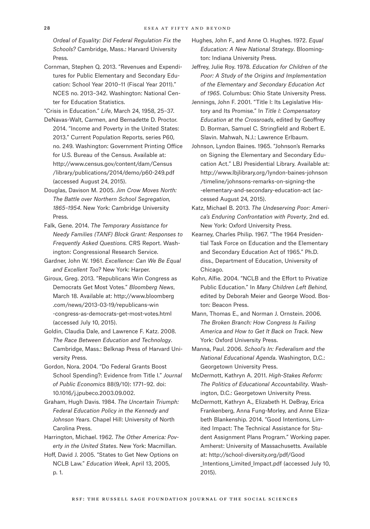*Ordeal of Equality: Did Federal Regulation Fix the Schools?* Cambridge, Mass.: Harvard University Press.

Cornman, Stephen Q. 2013. "Revenues and Expenditures for Public Elementary and Secondary Education: School Year 2010–11 (Fiscal Year 2011)." NCES no. 2013–342. Washington: National Center for Education Statistics.

"Crisis in Education." *Life*, March 24, 1958, 25–37.

- DeNavas-Walt, Carmen, and Bernadette D. Proctor. 2014. "Income and Poverty in the United States: 2013." Current Population Reports, series P60, no. 249. Washington: Government Printing Office for U.S. Bureau of the Census. Available at: [http://www.census.gov/content/dam/Census](http://www.census.gov/content/dam/Census/library/publications/2014/demo/p60-249.pdf)  [/library/publications/2014/demo/p60-249.pdf](http://www.census.gov/content/dam/Census/library/publications/2014/demo/p60-249.pdf)  (accessed August 24, 2015).
- Douglas, Davison M. 2005. *Jim Crow Moves North: The Battle over Northern School Segregation, 1865–1954*. New York: Cambridge University Press.
- Falk, Gene. 2014. *The Temporary Assistance for Needy Families (TANF) Block Grant: Responses to Frequently Asked Questions.* CRS Report. Washington: Congressional Research Service.

Gardner, John W. 1961. *Excellence: Can We Be Equal and Excellent Too?* New York: Harper.

- Giroux, Greg. 2013. "Republicans Win Congress as Democrats Get Most Votes." *Bloomberg News*, March 18. Available at: [http://www.bloomberg](http://www.bloomberg.com/news/2013-03-19/republicans-win-congress-as-democrats-get-most-votes.html)  [.com/news/2013-03-19/republicans-win](http://www.bloomberg.com/news/2013-03-19/republicans-win-congress-as-democrats-get-most-votes.html)  [-congress-as-democrats-get-most-votes.html](http://www.bloomberg.com/news/2013-03-19/republicans-win-congress-as-democrats-get-most-votes.html)  (accessed July 10, 2015).
- Goldin, Claudia Dale, and Lawrence F. Katz. 2008. *The Race Between Education and Technology*. Cambridge, Mass.: Belknap Press of Harvard University Press.

Gordon, Nora. 2004. "Do Federal Grants Boost School Spending?: Evidence from Title I." *Journal of Public Economics* 88(9/10): 1771–92. doi: 10.1016/j.jpubeco.2003.09.002.

- Graham, Hugh Davis. 1984. *The Uncertain Triumph: Federal Education Policy in the Kennedy and Johnson Years*. Chapel Hill: University of North Carolina Press.
- Harrington, Michael. 1962. *The Other America: Poverty in the United States*. New York: Macmillan.
- Hoff, David J. 2005. "States to Get New Options on NCLB Law." *Education Week*, April 13, 2005, p. 1.

Hughes, John F., and Anne O. Hughes. 1972. *Equal Education: A New National Strategy*. Bloomington: Indiana University Press.

Jeffrey, Julie Roy. 1978. *Education for Children of the Poor: A Study of the Origins and Implementation of the Elementary and Secondary Education Act of 1965*. Columbus: Ohio State University Press.

Jennings, John F. 2001. "Title I: Its Legislative History and Its Promise." In *Title I: Compensatory Education at the Crossroads*, edited by Geoffrey D. Borman, Samuel C. Stringfield and Robert E. Slavin. Mahwah, N.J.: Lawrence Erlbaum.

Johnson, Lyndon Baines. 1965. "Johnson's Remarks on Signing the Elementary and Secondary Education Act." LBJ Presidential Library. Available at: [http://www.lbjlibrary.org/lyndon-baines-johnson](http://www.lbjlibrary.org/lyndon-baines-johnson/timeline/johnsons-remarks-on-signing-the-elementary-and-secondary-education-act)  [/timeline/johnsons-remarks-on-signing-the](http://www.lbjlibrary.org/lyndon-baines-johnson/timeline/johnsons-remarks-on-signing-the-elementary-and-secondary-education-act)  [-elementary-and-secondary-education-act](http://www.lbjlibrary.org/lyndon-baines-johnson/timeline/johnsons-remarks-on-signing-the-elementary-and-secondary-education-act) (accessed August 24, 2015).

- Katz, Michael B. 2013. *The Undeserving Poor: America's Enduring Confrontation with Poverty*, 2nd ed. New York: Oxford University Press.
- Kearney, Charles Philip. 1967. "The 1964 Presidential Task Force on Education and the Elementary and Secondary Education Act of 1965." Ph.D. diss., Department of Education, University of Chicago.

Kohn, Alfie. 2004. "NCLB and the Effort to Privatize Public Education." In *Many Children Left Behind,* edited by Deborah Meier and George Wood. Boston: Beacon Press.

Mann, Thomas E., and Norman J. Ornstein. 2006. *The Broken Branch: How Congress Is Failing America and How to Get It Back on Track.* New York: Oxford University Press.

Manna, Paul. 2006. *School's In: Federalism and the National Educational Agenda*. Washington, D.C.: Georgetown University Press.

McDermott, Kathryn A. 2011. *High-Stakes Reform: The Politics of Educational Accountability*. Washington, D.C.: Georgetown University Press.

McDermott, Kathryn A., Elizabeth H. DeBray, Erica Frankenberg, Anna Fung-Morley, and Anne Elizabeth Blankenship. 2014. "Good Intentions, Limited Impact: The Technical Assistance for Student Assignment Plans Program." Working paper. Amherst: University of Massachusetts. Available at: [http://school-diversity.org/pdf/Good](http://school-diversity.org/pdf/Good_Intentions_Limited_Impact.pdf)  Intentions Limited Impact.pdf (accessed July 10, 2015).